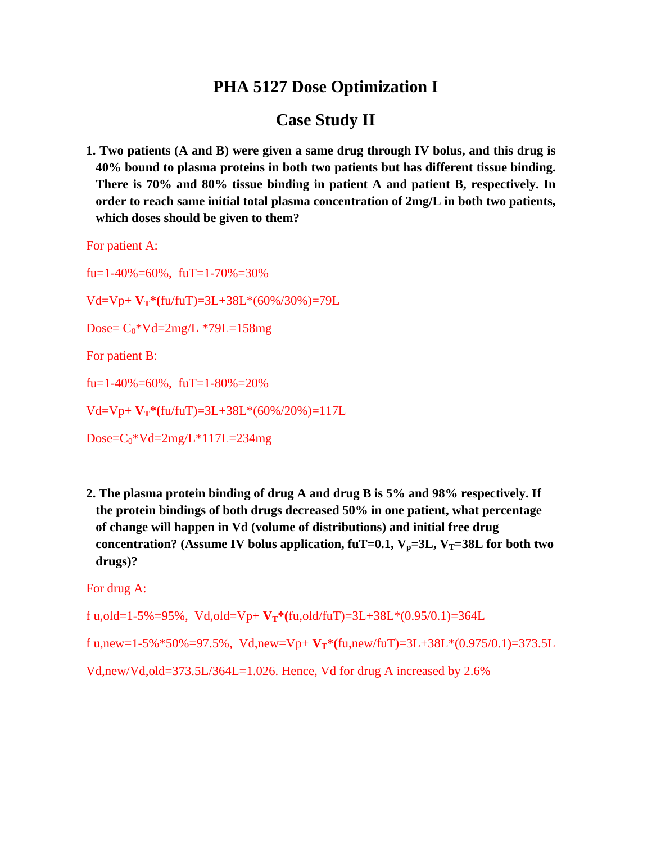## **PHA 5127 Dose Optimization I**

# **Case Study II**

**1. Two patients (A and B) were given a same drug through IV bolus, and this drug is 40% bound to plasma proteins in both two patients but has different tissue binding. There is 70% and 80% tissue binding in patient A and patient B, respectively. In order to reach same initial total plasma concentration of 2mg/L in both two patients, which doses should be given to them?** 

For patient A:

fu=1-40%=60%, fuT=1-70%=30% Vd=Vp+ **VT\*(**fu/fuT)=3L+38L\*(60%/30%)=79L Dose= $C_0$ \*Vd=2mg/L \*79L=158mg For patient B: fu=1-40%=60%, fuT=1-80%=20% Vd=Vp+ **VT\*(**fu/fuT)=3L+38L\*(60%/20%)=117L  $Dose=C_0*Vd=2mg/L*117L=234mg$ 

**2. The plasma protein binding of drug A and drug B is 5% and 98% respectively. If the protein bindings of both drugs decreased 50% in one patient, what percentage of change will happen in Vd (volume of distributions) and initial free drug**  concentration? (Assume IV bolus application,  $f_{\text{u}}T=0.1$ ,  $V_{\text{p}}=3L$ ,  $V_{\text{T}}=38L$  for both two **drugs)?** 

For drug A:

f u,old=1-5%=95%, Vd,old=Vp+  $V_T$ \*(fu,old/fuT)=3L+38L\*(0.95/0.1)=364L

f u,new=1-5%\*50%=97.5%, Vd,new=Vp+  $V_T$ \*(fu,new/fuT)=3L+38L\*(0.975/0.1)=373.5L

Vd,new/Vd,old=373.5L/364L=1.026. Hence, Vd for drug A increased by 2.6%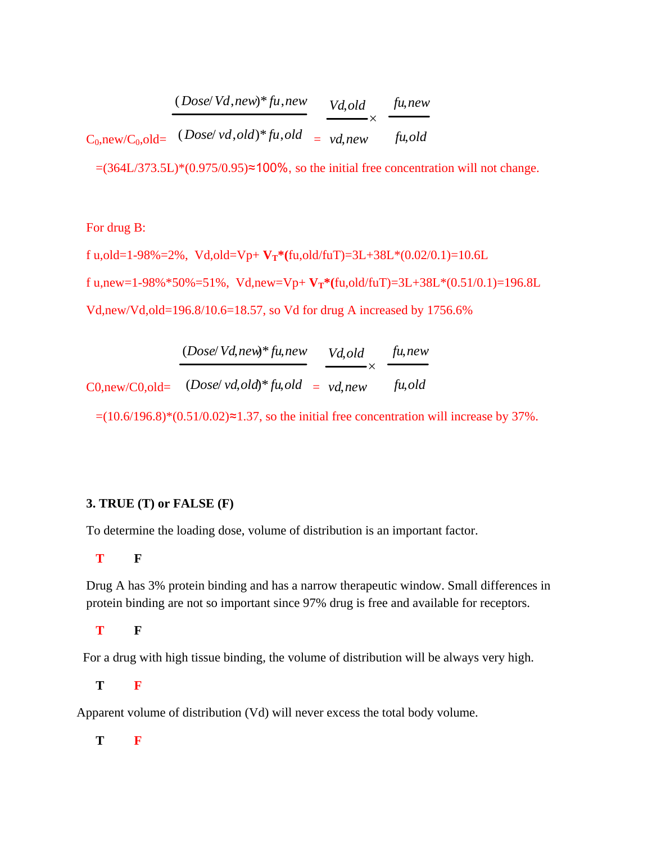| $(Dose/Vd, new)*fu, new$                       | Vd, old       | fu,new |
|------------------------------------------------|---------------|--------|
| $C_0$ ,new/ $C_0$ ,old= $(Dose/vd,old)*fu,old$ | $= v d$ , new | fu,old |

 $=(364L/373.5L)*(0.975/0.95) \approx 100\%$ , so the initial free concentration will not change.

#### For drug B:

f u,old=1-98%=2%, Vd,old=Vp+  $V_T^*(fu, old/fuT) = 3L + 38L^*(0.02/0.1) = 10.6L$ f u,new=1-98%\*50%=51%, Vd,new=Vp+  $V_T$ \*(fu,old/fuT)=3L+38L\*(0.51/0.1)=196.8L Vd,new/Vd,old=196.8/10.6=18.57, so Vd for drug A increased by 1756.6%

|                         | $(Dose/Vd, new)*fu, new$           | Vd,old<br>$\overline{\phantom{a}}$ | fu, new |
|-------------------------|------------------------------------|------------------------------------|---------|
| $C0$ , new/ $C0$ , old= | $(Dose/vd, old)*fu, old = vd, new$ |                                    | fu,old  |

 $=(10.6/196.8)*(0.51/0.02) \approx 1.37$ , so the initial free concentration will increase by 37%.

### **3. TRUE (T) or FALSE (F)**

To determine the loading dose, volume of distribution is an important factor.

### **T F**

 Drug A has 3% protein binding and has a narrow therapeutic window. Small differences in protein binding are not so important since 97% drug is free and available for receptors.

**T F**

For a drug with high tissue binding, the volume of distribution will be always very high.

**T F**

Apparent volume of distribution (Vd) will never excess the total body volume.

**T F**